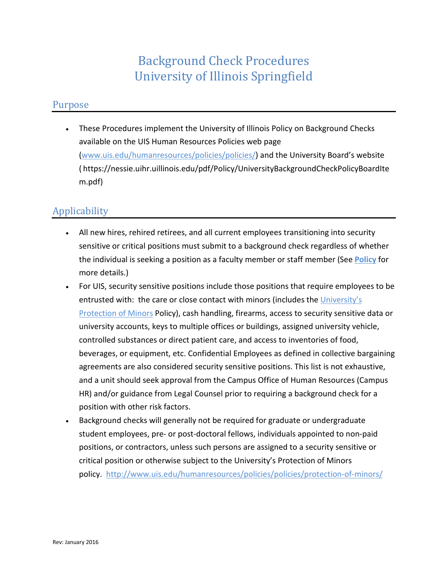# Background Check Procedures University of Illinois Springfield

#### Purpose

• These Procedures implement the University of Illinois Policy on Background Checks available on the UIS Human Resources Policies web page [\(www.uis.edu/humanresources/policies/policies/\)](http://www.uis.edu/humanresources/policies/policies/) and the University Board's website ( https://nessie.uihr.uillinois.edu/pdf/Policy/UniversityBackgroundCheckPolicyBoardIte m.pdf)

## Applicability

- All new hires, rehired retirees, and all current employees transitioning into security sensitive or critical positions must submit to a background check regardless of whether the individual is seeking a position as a faculty member or staff member (See **[Policy](https://nessie.uihr.uillinois.edu/pdf/Policy/UniversityBackgroundCheckPolicyBoardItem.pdf)** for more details.)
- For UIS, security sensitive positions include those positions that require employees to be entrusted with: the care or close contact with minors (includes the [University's](https://www.hr.uillinois.edu/cms/One.aspx?portalId=4292&pageId=5689)  [Protection of Minors](https://www.hr.uillinois.edu/cms/One.aspx?portalId=4292&pageId=5689) Policy), cash handling, firearms, access to security sensitive data or university accounts, keys to multiple offices or buildings, assigned university vehicle, controlled substances or direct patient care, and access to inventories of food, beverages, or equipment, etc. Confidential Employees as defined in collective bargaining agreements are also considered security sensitive positions. This list is not exhaustive, and a unit should seek approval from the Campus Office of Human Resources (Campus HR) and/or guidance from Legal Counsel prior to requiring a background check for a position with other risk factors.
- Background checks will generally not be required for graduate or undergraduate student employees, pre- or post-doctoral fellows, individuals appointed to non-paid positions, or contractors, unless such persons are assigned to a security sensitive or critical position or otherwise subject to the University's Protection of Minors policy. <http://www.uis.edu/humanresources/policies/policies/protection-of-minors/>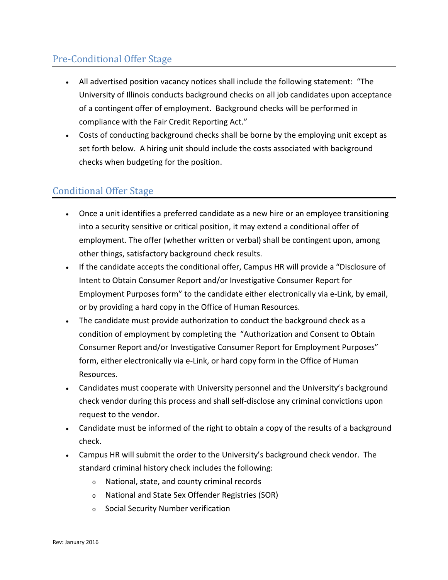## Pre-Conditional Offer Stage

- All advertised position vacancy notices shall include the following statement: "The University of Illinois conducts background checks on all job candidates upon acceptance of a contingent offer of employment. Background checks will be performed in compliance with the Fair Credit Reporting Act."
- Costs of conducting background checks shall be borne by the employing unit except as set forth below. A hiring unit should include the costs associated with background checks when budgeting for the position.

#### Conditional Offer Stage

- Once a unit identifies a preferred candidate as a new hire or an employee transitioning into a security sensitive or critical position, it may extend a conditional offer of employment. The offer (whether written or verbal) shall be contingent upon, among other things, satisfactory background check results.
- If the candidate accepts the conditional offer, Campus HR will provide a "Disclosure of Intent to Obtain Consumer Report and/or Investigative Consumer Report for Employment Purposes form" to the candidate either electronically via e-Link, by email, or by providing a hard copy in the Office of Human Resources.
- The candidate must provide authorization to conduct the background check as a condition of employment by completing the "Authorization and Consent to Obtain Consumer Report and/or Investigative Consumer Report for Employment Purposes" form, either electronically via e-Link, or hard copy form in the Office of Human Resources.
- Candidates must cooperate with University personnel and the University's background check vendor during this process and shall self-disclose any criminal convictions upon request to the vendor.
- Candidate must be informed of the right to obtain a copy of the results of a background check.
- Campus HR will submit the order to the University's background check vendor. The standard criminal history check includes the following:
	- <sup>o</sup> National, state, and county criminal records
	- <sup>o</sup> National and State Sex Offender Registries (SOR)
	- <sup>o</sup> Social Security Number verification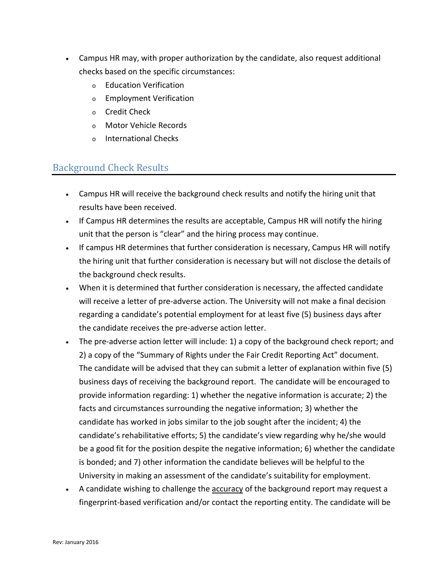- Campus HR may, with proper authorization by the candidate, also request additional checks based on the specific circumstances:
	- <sup>o</sup> Education Verification
	- <sup>o</sup> Employment Verification
	- <sup>o</sup> Credit Check
	- <sup>o</sup> Motor Vehicle Records
	- <sup>o</sup> International Checks

### Background Check Results

- Campus HR will receive the background check results and notify the hiring unit that results have been received.
- If Campus HR determines the results are acceptable, Campus HR will notify the hiring unit that the person is "clear" and the hiring process may continue.
- If campus HR determines that further consideration is necessary, Campus HR will notify the hiring unit that further consideration is necessary but will not disclose the details of the background check results.
- When it is determined that further consideration is necessary, the affected candidate will receive a letter of pre-adverse action. The University will not make a final decision regarding a candidate's potential employment for at least five (5) business days after the candidate receives the pre-adverse action letter.
- The pre-adverse action letter will include: 1) a copy of the background check report; and 2) a copy of the "Summary of Rights under the Fair Credit Reporting Act" document. The candidate will be advised that they can submit a letter of explanation within five (5) business days of receiving the background report. The candidate will be encouraged to provide information regarding: 1) whether the negative information is accurate; 2) the facts and circumstances surrounding the negative information; 3) whether the candidate has worked in jobs similar to the job sought after the incident; 4) the candidate's rehabilitative efforts; 5) the candidate's view regarding why he/she would be a good fit for the position despite the negative information; 6) whether the candidate is bonded; and 7) other information the candidate believes will be helpful to the University in making an assessment of the candidate's suitability for employment.
- A candidate wishing to challenge the accuracy of the background report may request a fingerprint-based verification and/or contact the reporting entity. The candidate will be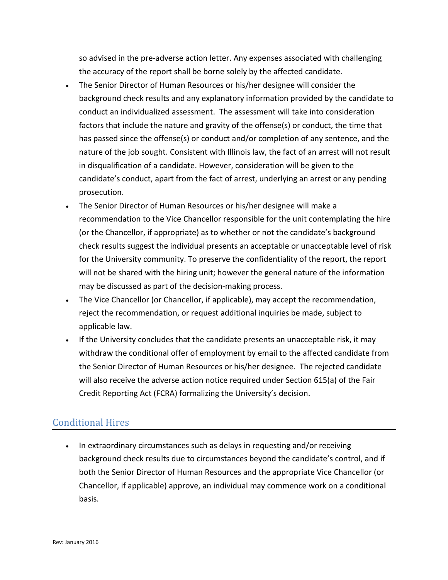so advised in the pre-adverse action letter. Any expenses associated with challenging the accuracy of the report shall be borne solely by the affected candidate.

- The Senior Director of Human Resources or his/her designee will consider the background check results and any explanatory information provided by the candidate to conduct an individualized assessment. The assessment will take into consideration factors that include the nature and gravity of the offense(s) or conduct, the time that has passed since the offense(s) or conduct and/or completion of any sentence, and the nature of the job sought. Consistent with Illinois law, the fact of an arrest will not result in disqualification of a candidate. However, consideration will be given to the candidate's conduct, apart from the fact of arrest, underlying an arrest or any pending prosecution.
- The Senior Director of Human Resources or his/her designee will make a recommendation to the Vice Chancellor responsible for the unit contemplating the hire (or the Chancellor, if appropriate) as to whether or not the candidate's background check results suggest the individual presents an acceptable or unacceptable level of risk for the University community. To preserve the confidentiality of the report, the report will not be shared with the hiring unit; however the general nature of the information may be discussed as part of the decision-making process.
- The Vice Chancellor (or Chancellor, if applicable), may accept the recommendation, reject the recommendation, or request additional inquiries be made, subject to applicable law.
- If the University concludes that the candidate presents an unacceptable risk, it may withdraw the conditional offer of employment by email to the affected candidate from the Senior Director of Human Resources or his/her designee. The rejected candidate will also receive the adverse action notice required under Section 615(a) of the Fair Credit Reporting Act (FCRA) formalizing the University's decision.

## Conditional Hires

• In extraordinary circumstances such as delays in requesting and/or receiving background check results due to circumstances beyond the candidate's control, and if both the Senior Director of Human Resources and the appropriate Vice Chancellor (or Chancellor, if applicable) approve, an individual may commence work on a conditional basis.